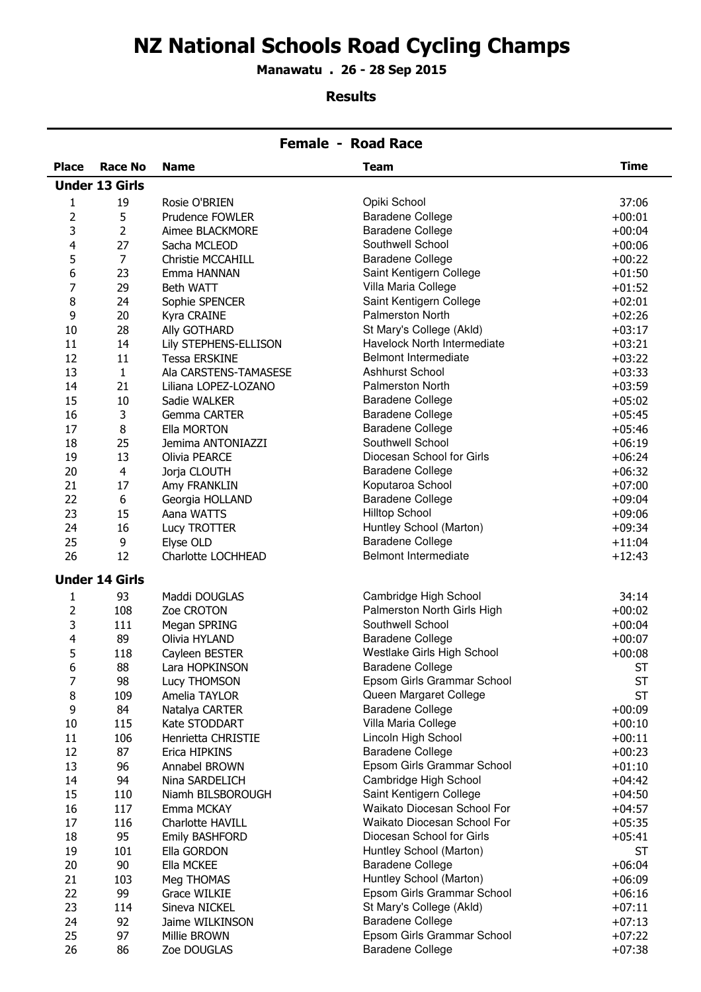# NZ National Schools Road Cycling Champs

Manawatu . 26 - 28 Sep 2015

#### Results

|              | <b>Female - Road Race</b> |                                  |                                                      |                        |  |
|--------------|---------------------------|----------------------------------|------------------------------------------------------|------------------------|--|
| <b>Place</b> | Race No                   | <b>Name</b>                      | <b>Team</b>                                          | <b>Time</b>            |  |
|              | <b>Under 13 Girls</b>     |                                  |                                                      |                        |  |
| 1            | 19                        | Rosie O'BRIEN                    | Opiki School                                         | 37:06                  |  |
| 2            | 5                         | Prudence FOWLER                  | <b>Baradene College</b>                              | $+00:01$               |  |
| 3            | 2                         | Aimee BLACKMORE                  | <b>Baradene College</b>                              | $+00:04$               |  |
| 4            | 27                        | Sacha MCLEOD                     | Southwell School                                     | $+00:06$               |  |
| 5            | $\overline{7}$            | Christie MCCAHILL                | <b>Baradene College</b>                              | $+00:22$               |  |
| 6            | 23                        | Emma HANNAN                      | Saint Kentigern College                              | $+01:50$               |  |
| 7            | 29                        | Beth WATT                        | Villa Maria College                                  | $+01:52$               |  |
| 8            | 24                        | Sophie SPENCER                   | Saint Kentigern College                              | $+02:01$               |  |
| 9            | 20                        | Kyra CRAINE                      | Palmerston North                                     | $+02:26$               |  |
| 10           | 28                        | Ally GOTHARD                     | St Mary's College (Akld)                             | $+03:17$               |  |
| 11           | 14                        | Lily STEPHENS-ELLISON            | Havelock North Intermediate                          | $+03:21$               |  |
| 12           | 11                        | <b>Tessa ERSKINE</b>             | <b>Belmont Intermediate</b>                          | $+03:22$               |  |
| 13           | $\mathbf{1}$              | Ala CARSTENS-TAMASESE            | <b>Ashhurst School</b>                               | $+03:33$               |  |
| 14           | 21                        | Liliana LOPEZ-LOZANO             | <b>Palmerston North</b>                              | $+03:59$               |  |
| 15           | 10                        | Sadie WALKER                     | <b>Baradene College</b>                              | $+05:02$               |  |
| 16           | 3                         | <b>Gemma CARTER</b>              | <b>Baradene College</b>                              | $+05:45$               |  |
| 17           | 8                         | Ella MORTON                      | <b>Baradene College</b>                              | $+05:46$               |  |
| 18           | 25                        | Jemima ANTONIAZZI                | Southwell School                                     | $+06:19$               |  |
| 19           | 13                        | Olivia PEARCE                    | Diocesan School for Girls                            | $+06:24$               |  |
| 20           | $\overline{4}$            | Jorja CLOUTH                     | <b>Baradene College</b>                              | $+06:32$               |  |
| 21           | 17                        | Amy FRANKLIN                     | Koputaroa School                                     | $+07:00$               |  |
| 22           | 6                         | Georgia HOLLAND                  | <b>Baradene College</b>                              | $+09:04$               |  |
| 23           | 15                        | Aana WATTS                       | <b>Hilltop School</b>                                | $+09:06$               |  |
| 24           | 16                        | Lucy TROTTER                     | Huntley School (Marton)                              | $+09:34$               |  |
| 25           | 9                         | Elyse OLD                        | <b>Baradene College</b>                              | $+11:04$               |  |
| 26           | 12                        | Charlotte LOCHHEAD               | <b>Belmont Intermediate</b>                          | $+12:43$               |  |
|              |                           |                                  |                                                      |                        |  |
|              | <b>Under 14 Girls</b>     |                                  |                                                      |                        |  |
| 1            | 93                        | Maddi DOUGLAS                    | Cambridge High School                                | 34:14                  |  |
| 2            | 108                       | Zoe CROTON                       | Palmerston North Girls High                          | $+00:02$               |  |
| 3            | 111                       | Megan SPRING                     | Southwell School                                     | $+00:04$               |  |
| 4            | 89                        | Olivia HYLAND                    | <b>Baradene College</b>                              | $+00:07$               |  |
| 5            | 118                       | Cayleen BESTER<br>Lara HOPKINSON | Westlake Girls High School                           | $+00:08$               |  |
| 6<br>7       | 88                        |                                  | <b>Baradene College</b>                              | <b>ST</b>              |  |
| 8            | 98<br>109                 | Lucy THOMSON<br>Amelia TAYLOR    | Epsom Girls Grammar School<br>Queen Margaret College | <b>ST</b><br><b>ST</b> |  |
| 9            | 84                        | Natalya CARTER                   | <b>Baradene College</b>                              | $+00:09$               |  |
| 10           | 115                       | Kate STODDART                    | Villa Maria College                                  | $+00:10$               |  |
| 11           | 106                       | Henrietta CHRISTIE               | Lincoln High School                                  | $+00:11$               |  |
| 12           | 87                        | Erica HIPKINS                    | <b>Baradene College</b>                              | $+00:23$               |  |
| 13           | 96                        | Annabel BROWN                    | Epsom Girls Grammar School                           | $+01:10$               |  |
| 14           | 94                        | Nina SARDELICH                   | Cambridge High School                                | $+04:42$               |  |
| 15           | 110                       | Niamh BILSBOROUGH                | Saint Kentigern College                              | $+04:50$               |  |
| 16           | 117                       | Emma MCKAY                       | Waikato Diocesan School For                          | $+04:57$               |  |
| 17           | 116                       | Charlotte HAVILL                 | Waikato Diocesan School For                          | $+05:35$               |  |
| 18           | 95                        | Emily BASHFORD                   | Diocesan School for Girls                            | $+05:41$               |  |
| 19           | 101                       | Ella GORDON                      | Huntley School (Marton)                              | <b>ST</b>              |  |
| 20           | 90                        | Ella MCKEE                       | <b>Baradene College</b>                              | $+06:04$               |  |
| 21           | 103                       | Meg THOMAS                       | Huntley School (Marton)                              | $+06:09$               |  |
| 22           | 99                        | Grace WILKIE                     | Epsom Girls Grammar School                           | $+06:16$               |  |
| 23           | 114                       | Sineva NICKEL                    | St Mary's College (Akld)                             | $+07:11$               |  |
| 24           | 92                        | Jaime WILKINSON                  | <b>Baradene College</b>                              | $+07:13$               |  |
| 25           | 97                        | Millie BROWN                     | Epsom Girls Grammar School                           | $+07:22$               |  |
| 26           | 86                        | Zoe DOUGLAS                      | <b>Baradene College</b>                              | $+07:38$               |  |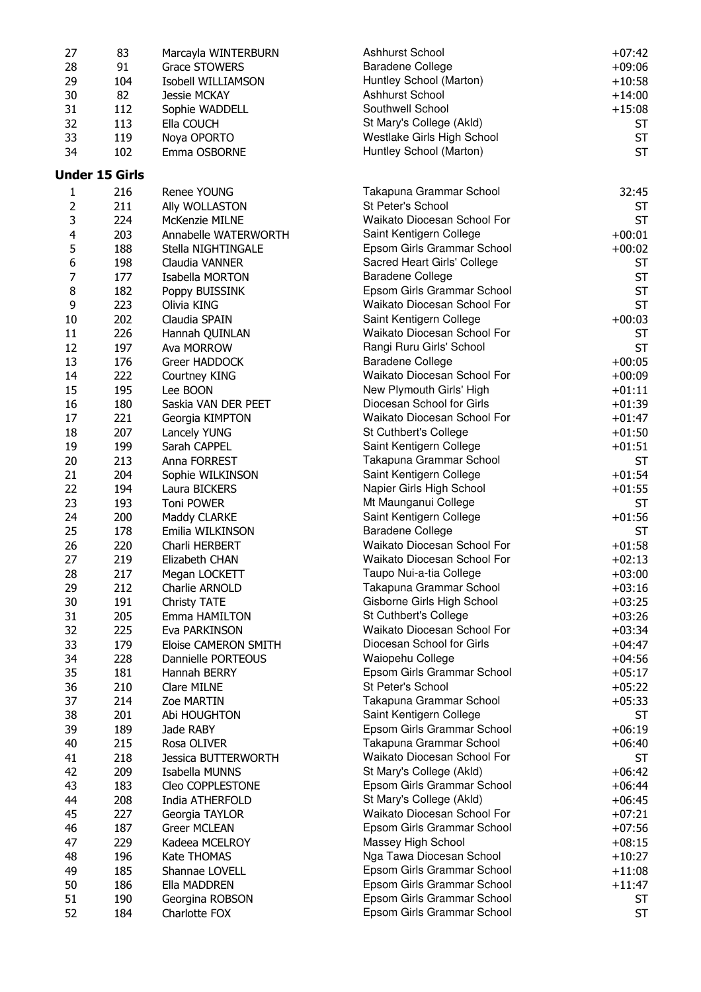| 27 | 83                    | Marcayla WINTERBURN          | <b>Ashhurst School</b>                                | $+07:42$  |
|----|-----------------------|------------------------------|-------------------------------------------------------|-----------|
| 28 | 91                    | <b>Grace STOWERS</b>         | <b>Baradene College</b>                               | $+09:06$  |
| 29 | 104                   | Isobell WILLIAMSON           | Huntley School (Marton)                               | $+10:58$  |
| 30 | 82                    | <b>Jessie MCKAY</b>          | Ashhurst School                                       | $+14:00$  |
| 31 | 112                   | Sophie WADDELL               | Southwell School                                      | $+15:08$  |
| 32 | 113                   | Ella COUCH                   | St Mary's College (Akld)                              | <b>ST</b> |
| 33 | 119                   |                              | Westlake Girls High School                            | <b>ST</b> |
|    |                       | Noya OPORTO                  |                                                       | <b>ST</b> |
| 34 | 102                   | Emma OSBORNE                 | Huntley School (Marton)                               |           |
|    | <b>Under 15 Girls</b> |                              |                                                       |           |
| 1  | 216                   | Renee YOUNG                  | Takapuna Grammar School                               | 32:45     |
| 2  | 211                   | Ally WOLLASTON               | St Peter's School                                     | <b>ST</b> |
| 3  | 224                   | McKenzie MILNE               | Waikato Diocesan School For                           | <b>ST</b> |
| 4  | 203                   | Annabelle WATERWORTH         | Saint Kentigern College                               | $+00:01$  |
| 5  | 188                   | Stella NIGHTINGALE           | Epsom Girls Grammar School                            | $+00:02$  |
| 6  | 198                   | Claudia VANNER               | Sacred Heart Girls' College                           | <b>ST</b> |
| 7  | 177                   | Isabella MORTON              | <b>Baradene College</b>                               | <b>ST</b> |
| 8  | 182                   | Poppy BUISSINK               | Epsom Girls Grammar School                            | <b>ST</b> |
| 9  | 223                   | Olivia KING                  | Waikato Diocesan School For                           | <b>ST</b> |
| 10 | 202                   | Claudia SPAIN                | Saint Kentigern College                               | $+00:03$  |
| 11 | 226                   |                              | Waikato Diocesan School For                           | <b>ST</b> |
| 12 | 197                   | Hannah QUINLAN<br>Ava MORROW | Rangi Ruru Girls' School                              | <b>ST</b> |
|    |                       |                              | <b>Baradene College</b>                               |           |
| 13 | 176                   | Greer HADDOCK                | Waikato Diocesan School For                           | $+00:05$  |
| 14 | 222                   | Courtney KING                |                                                       | $+00:09$  |
| 15 | 195                   | Lee BOON                     | New Plymouth Girls' High<br>Diocesan School for Girls | $+01:11$  |
| 16 | 180                   | Saskia VAN DER PEET          |                                                       | $+01:39$  |
| 17 | 221                   | Georgia KIMPTON              | Waikato Diocesan School For                           | $+01:47$  |
| 18 | 207                   | Lancely YUNG                 | St Cuthbert's College                                 | $+01:50$  |
| 19 | 199                   | Sarah CAPPEL                 | Saint Kentigern College                               | $+01:51$  |
| 20 | 213                   | Anna FORREST                 | Takapuna Grammar School                               | <b>ST</b> |
| 21 | 204                   | Sophie WILKINSON             | Saint Kentigern College                               | $+01:54$  |
| 22 | 194                   | Laura BICKERS                | Napier Girls High School                              | $+01:55$  |
| 23 | 193                   | Toni POWER                   | Mt Maunganui College                                  | <b>ST</b> |
| 24 | 200                   | Maddy CLARKE                 | Saint Kentigern College                               | $+01:56$  |
| 25 | 178                   | Emilia WILKINSON             | <b>Baradene College</b>                               | <b>ST</b> |
| 26 | 220                   | Charli HERBERT               | Waikato Diocesan School For                           | $+01:58$  |
| 27 | 219                   | Elizabeth CHAN               | Waikato Diocesan School For                           | $+02:13$  |
| 28 | 217                   | Megan LOCKETT                | Taupo Nui-a-tia College                               | $+03:00$  |
| 29 | 212                   | Charlie ARNOLD               | Takapuna Grammar School                               | $+03:16$  |
| 30 | 191                   | Christy TATE                 | Gisborne Girls High School                            | $+03:25$  |
| 31 | 205                   | Emma HAMILTON                | St Cuthbert's College                                 | $+03:26$  |
| 32 | 225                   | Eva PARKINSON                | Waikato Diocesan School For                           | $+03:34$  |
| 33 | 179                   | Eloise CAMERON SMITH         | Diocesan School for Girls                             | $+04:47$  |
| 34 | 228                   | Dannielle PORTEOUS           | Waiopehu College                                      | $+04:56$  |
| 35 | 181                   | Hannah BERRY                 | Epsom Girls Grammar School                            | $+05:17$  |
| 36 | 210                   | Clare MILNE                  | St Peter's School                                     | $+05:22$  |
| 37 | 214                   | Zoe MARTIN                   | Takapuna Grammar School                               | $+05:33$  |
| 38 | 201                   | Abi HOUGHTON                 | Saint Kentigern College                               | ST        |
| 39 | 189                   | Jade RABY                    | Epsom Girls Grammar School                            | $+06:19$  |
| 40 | 215                   | Rosa OLIVER                  | Takapuna Grammar School                               | $+06:40$  |
| 41 | 218                   | <b>Jessica BUTTERWORTH</b>   | Waikato Diocesan School For                           | <b>ST</b> |
| 42 | 209                   | Isabella MUNNS               | St Mary's College (Akld)                              | $+06:42$  |
| 43 | 183                   | Cleo COPPLESTONE             | Epsom Girls Grammar School                            | $+06:44$  |
| 44 | 208                   | India ATHERFOLD              | St Mary's College (Akld)                              | $+06:45$  |
| 45 | 227                   | Georgia TAYLOR               | Waikato Diocesan School For                           | $+07:21$  |
| 46 | 187                   | <b>Greer MCLEAN</b>          | Epsom Girls Grammar School                            | $+07:56$  |
| 47 | 229                   | Kadeea MCELROY               | Massey High School                                    | $+08:15$  |
| 48 | 196                   | Kate THOMAS                  | Nga Tawa Diocesan School                              | $+10:27$  |
| 49 | 185                   | Shannae LOVELL               | Epsom Girls Grammar School                            | $+11:08$  |
| 50 | 186                   | Ella MADDREN                 | Epsom Girls Grammar School                            | $+11:47$  |
| 51 | 190                   | Georgina ROBSON              | Epsom Girls Grammar School                            | <b>ST</b> |
| 52 | 184                   | Charlotte FOX                | Epsom Girls Grammar School                            | <b>ST</b> |
|    |                       |                              |                                                       |           |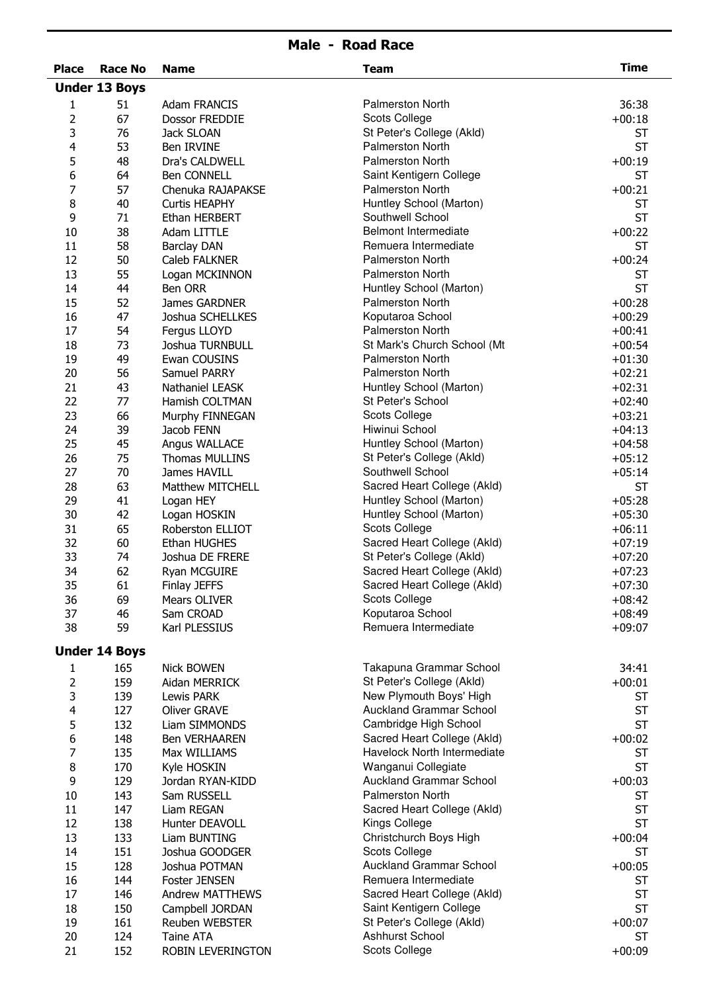| <b>Place</b><br><b>Race No</b><br><b>Name</b><br><b>Team</b><br><b>Under 13 Boys</b><br>51<br><b>Palmerston North</b><br><b>Adam FRANCIS</b><br>1<br>67<br>2<br>Dossor FREDDIE<br>Scots College<br>3<br>76<br>St Peter's College (Akld)<br>Jack SLOAN<br><b>Palmerston North</b><br>53<br>4<br>Ben IRVINE<br><b>Palmerston North</b><br>5<br>48<br>Dra's CALDWELL<br>Saint Kentigern College<br>6<br>64<br>Ben CONNELL<br><b>Palmerston North</b><br>7<br>57<br>Chenuka RAJAPAKSE<br>Huntley School (Marton)<br>8<br>40<br><b>Curtis HEAPHY</b><br>Southwell School<br>9<br>71<br>Ethan HERBERT<br><b>Belmont Intermediate</b><br>38<br>10<br>Adam LITTLE<br>Remuera Intermediate<br>58<br>11<br><b>Barclay DAN</b><br>12<br>50<br><b>Palmerston North</b><br>Caleb FALKNER<br>13<br>55<br><b>Palmerston North</b><br>Logan MCKINNON<br>44<br>Ben ORR<br>Huntley School (Marton)<br>14<br>15<br>52<br><b>Palmerston North</b><br>James GARDNER<br>47<br>16<br>Koputaroa School<br>Joshua SCHELLKES<br><b>Palmerston North</b><br>54<br>17<br>Fergus LLOYD<br>St Mark's Church School (Mt<br>73<br>18<br>Joshua TURNBULL<br>49<br><b>Palmerston North</b><br>19<br>Ewan COUSINS<br>20<br>56<br><b>Palmerston North</b><br>Samuel PARRY<br>21<br>43<br>Huntley School (Marton)<br>Nathaniel LEASK<br>22<br>77<br>St Peter's School<br>Hamish COLTMAN<br>Scots College<br>23<br>66<br>Murphy FINNEGAN<br>39<br>Hiwinui School<br>24<br>Jacob FENN<br>Huntley School (Marton)<br>25<br>45<br>Angus WALLACE<br>26<br>75<br>St Peter's College (Akld)<br><b>Thomas MULLINS</b><br>Southwell School<br>27<br>70<br>James HAVILL<br>63<br>28<br>Sacred Heart College (Akld)<br><b>Matthew MITCHELL</b><br>29<br>41<br>Huntley School (Marton)<br>Logan HEY<br>42<br>Huntley School (Marton)<br>30<br>Logan HOSKIN<br>65<br>Scots College<br>31<br>Roberston ELLIOT<br>Sacred Heart College (Akld)<br>32<br>60<br>Ethan HUGHES<br>33<br>74<br>St Peter's College (Akld)<br>Joshua DE FRERE<br>Sacred Heart College (Akld)<br>62<br>34<br>Ryan MCGUIRE<br>Sacred Heart College (Akld)<br>35<br>61<br>Finlay JEFFS<br>69<br>Scots College<br>36<br>Mears OLIVER<br>Koputaroa School<br>37<br>46<br>Sam CROAD<br>Remuera Intermediate<br>38<br>59<br>Karl PLESSIUS<br><b>Under 14 Boys</b> |                      |
|--------------------------------------------------------------------------------------------------------------------------------------------------------------------------------------------------------------------------------------------------------------------------------------------------------------------------------------------------------------------------------------------------------------------------------------------------------------------------------------------------------------------------------------------------------------------------------------------------------------------------------------------------------------------------------------------------------------------------------------------------------------------------------------------------------------------------------------------------------------------------------------------------------------------------------------------------------------------------------------------------------------------------------------------------------------------------------------------------------------------------------------------------------------------------------------------------------------------------------------------------------------------------------------------------------------------------------------------------------------------------------------------------------------------------------------------------------------------------------------------------------------------------------------------------------------------------------------------------------------------------------------------------------------------------------------------------------------------------------------------------------------------------------------------------------------------------------------------------------------------------------------------------------------------------------------------------------------------------------------------------------------------------------------------------------------------------------------------------------------------------------------------------------------------------------------------------------------------------------------------------------------------------------|----------------------|
|                                                                                                                                                                                                                                                                                                                                                                                                                                                                                                                                                                                                                                                                                                                                                                                                                                                                                                                                                                                                                                                                                                                                                                                                                                                                                                                                                                                                                                                                                                                                                                                                                                                                                                                                                                                                                                                                                                                                                                                                                                                                                                                                                                                                                                                                                | <b>Time</b>          |
|                                                                                                                                                                                                                                                                                                                                                                                                                                                                                                                                                                                                                                                                                                                                                                                                                                                                                                                                                                                                                                                                                                                                                                                                                                                                                                                                                                                                                                                                                                                                                                                                                                                                                                                                                                                                                                                                                                                                                                                                                                                                                                                                                                                                                                                                                |                      |
|                                                                                                                                                                                                                                                                                                                                                                                                                                                                                                                                                                                                                                                                                                                                                                                                                                                                                                                                                                                                                                                                                                                                                                                                                                                                                                                                                                                                                                                                                                                                                                                                                                                                                                                                                                                                                                                                                                                                                                                                                                                                                                                                                                                                                                                                                | 36:38                |
|                                                                                                                                                                                                                                                                                                                                                                                                                                                                                                                                                                                                                                                                                                                                                                                                                                                                                                                                                                                                                                                                                                                                                                                                                                                                                                                                                                                                                                                                                                                                                                                                                                                                                                                                                                                                                                                                                                                                                                                                                                                                                                                                                                                                                                                                                | $+00:18$             |
|                                                                                                                                                                                                                                                                                                                                                                                                                                                                                                                                                                                                                                                                                                                                                                                                                                                                                                                                                                                                                                                                                                                                                                                                                                                                                                                                                                                                                                                                                                                                                                                                                                                                                                                                                                                                                                                                                                                                                                                                                                                                                                                                                                                                                                                                                | <b>ST</b>            |
|                                                                                                                                                                                                                                                                                                                                                                                                                                                                                                                                                                                                                                                                                                                                                                                                                                                                                                                                                                                                                                                                                                                                                                                                                                                                                                                                                                                                                                                                                                                                                                                                                                                                                                                                                                                                                                                                                                                                                                                                                                                                                                                                                                                                                                                                                | <b>ST</b>            |
|                                                                                                                                                                                                                                                                                                                                                                                                                                                                                                                                                                                                                                                                                                                                                                                                                                                                                                                                                                                                                                                                                                                                                                                                                                                                                                                                                                                                                                                                                                                                                                                                                                                                                                                                                                                                                                                                                                                                                                                                                                                                                                                                                                                                                                                                                | $+00:19$             |
|                                                                                                                                                                                                                                                                                                                                                                                                                                                                                                                                                                                                                                                                                                                                                                                                                                                                                                                                                                                                                                                                                                                                                                                                                                                                                                                                                                                                                                                                                                                                                                                                                                                                                                                                                                                                                                                                                                                                                                                                                                                                                                                                                                                                                                                                                | <b>ST</b>            |
|                                                                                                                                                                                                                                                                                                                                                                                                                                                                                                                                                                                                                                                                                                                                                                                                                                                                                                                                                                                                                                                                                                                                                                                                                                                                                                                                                                                                                                                                                                                                                                                                                                                                                                                                                                                                                                                                                                                                                                                                                                                                                                                                                                                                                                                                                | $+00:21$             |
|                                                                                                                                                                                                                                                                                                                                                                                                                                                                                                                                                                                                                                                                                                                                                                                                                                                                                                                                                                                                                                                                                                                                                                                                                                                                                                                                                                                                                                                                                                                                                                                                                                                                                                                                                                                                                                                                                                                                                                                                                                                                                                                                                                                                                                                                                | <b>ST</b>            |
|                                                                                                                                                                                                                                                                                                                                                                                                                                                                                                                                                                                                                                                                                                                                                                                                                                                                                                                                                                                                                                                                                                                                                                                                                                                                                                                                                                                                                                                                                                                                                                                                                                                                                                                                                                                                                                                                                                                                                                                                                                                                                                                                                                                                                                                                                | <b>ST</b>            |
|                                                                                                                                                                                                                                                                                                                                                                                                                                                                                                                                                                                                                                                                                                                                                                                                                                                                                                                                                                                                                                                                                                                                                                                                                                                                                                                                                                                                                                                                                                                                                                                                                                                                                                                                                                                                                                                                                                                                                                                                                                                                                                                                                                                                                                                                                | $+00:22$             |
|                                                                                                                                                                                                                                                                                                                                                                                                                                                                                                                                                                                                                                                                                                                                                                                                                                                                                                                                                                                                                                                                                                                                                                                                                                                                                                                                                                                                                                                                                                                                                                                                                                                                                                                                                                                                                                                                                                                                                                                                                                                                                                                                                                                                                                                                                | <b>ST</b>            |
|                                                                                                                                                                                                                                                                                                                                                                                                                                                                                                                                                                                                                                                                                                                                                                                                                                                                                                                                                                                                                                                                                                                                                                                                                                                                                                                                                                                                                                                                                                                                                                                                                                                                                                                                                                                                                                                                                                                                                                                                                                                                                                                                                                                                                                                                                | $+00:24$             |
|                                                                                                                                                                                                                                                                                                                                                                                                                                                                                                                                                                                                                                                                                                                                                                                                                                                                                                                                                                                                                                                                                                                                                                                                                                                                                                                                                                                                                                                                                                                                                                                                                                                                                                                                                                                                                                                                                                                                                                                                                                                                                                                                                                                                                                                                                | <b>ST</b>            |
|                                                                                                                                                                                                                                                                                                                                                                                                                                                                                                                                                                                                                                                                                                                                                                                                                                                                                                                                                                                                                                                                                                                                                                                                                                                                                                                                                                                                                                                                                                                                                                                                                                                                                                                                                                                                                                                                                                                                                                                                                                                                                                                                                                                                                                                                                | <b>ST</b>            |
|                                                                                                                                                                                                                                                                                                                                                                                                                                                                                                                                                                                                                                                                                                                                                                                                                                                                                                                                                                                                                                                                                                                                                                                                                                                                                                                                                                                                                                                                                                                                                                                                                                                                                                                                                                                                                                                                                                                                                                                                                                                                                                                                                                                                                                                                                | $+00:28$             |
|                                                                                                                                                                                                                                                                                                                                                                                                                                                                                                                                                                                                                                                                                                                                                                                                                                                                                                                                                                                                                                                                                                                                                                                                                                                                                                                                                                                                                                                                                                                                                                                                                                                                                                                                                                                                                                                                                                                                                                                                                                                                                                                                                                                                                                                                                | $+00:29$<br>$+00:41$ |
|                                                                                                                                                                                                                                                                                                                                                                                                                                                                                                                                                                                                                                                                                                                                                                                                                                                                                                                                                                                                                                                                                                                                                                                                                                                                                                                                                                                                                                                                                                                                                                                                                                                                                                                                                                                                                                                                                                                                                                                                                                                                                                                                                                                                                                                                                | $+00:54$             |
|                                                                                                                                                                                                                                                                                                                                                                                                                                                                                                                                                                                                                                                                                                                                                                                                                                                                                                                                                                                                                                                                                                                                                                                                                                                                                                                                                                                                                                                                                                                                                                                                                                                                                                                                                                                                                                                                                                                                                                                                                                                                                                                                                                                                                                                                                | $+01:30$             |
|                                                                                                                                                                                                                                                                                                                                                                                                                                                                                                                                                                                                                                                                                                                                                                                                                                                                                                                                                                                                                                                                                                                                                                                                                                                                                                                                                                                                                                                                                                                                                                                                                                                                                                                                                                                                                                                                                                                                                                                                                                                                                                                                                                                                                                                                                | $+02:21$             |
|                                                                                                                                                                                                                                                                                                                                                                                                                                                                                                                                                                                                                                                                                                                                                                                                                                                                                                                                                                                                                                                                                                                                                                                                                                                                                                                                                                                                                                                                                                                                                                                                                                                                                                                                                                                                                                                                                                                                                                                                                                                                                                                                                                                                                                                                                | $+02:31$             |
|                                                                                                                                                                                                                                                                                                                                                                                                                                                                                                                                                                                                                                                                                                                                                                                                                                                                                                                                                                                                                                                                                                                                                                                                                                                                                                                                                                                                                                                                                                                                                                                                                                                                                                                                                                                                                                                                                                                                                                                                                                                                                                                                                                                                                                                                                | $+02:40$             |
|                                                                                                                                                                                                                                                                                                                                                                                                                                                                                                                                                                                                                                                                                                                                                                                                                                                                                                                                                                                                                                                                                                                                                                                                                                                                                                                                                                                                                                                                                                                                                                                                                                                                                                                                                                                                                                                                                                                                                                                                                                                                                                                                                                                                                                                                                | $+03:21$             |
|                                                                                                                                                                                                                                                                                                                                                                                                                                                                                                                                                                                                                                                                                                                                                                                                                                                                                                                                                                                                                                                                                                                                                                                                                                                                                                                                                                                                                                                                                                                                                                                                                                                                                                                                                                                                                                                                                                                                                                                                                                                                                                                                                                                                                                                                                | $+04:13$             |
|                                                                                                                                                                                                                                                                                                                                                                                                                                                                                                                                                                                                                                                                                                                                                                                                                                                                                                                                                                                                                                                                                                                                                                                                                                                                                                                                                                                                                                                                                                                                                                                                                                                                                                                                                                                                                                                                                                                                                                                                                                                                                                                                                                                                                                                                                | $+04:58$             |
|                                                                                                                                                                                                                                                                                                                                                                                                                                                                                                                                                                                                                                                                                                                                                                                                                                                                                                                                                                                                                                                                                                                                                                                                                                                                                                                                                                                                                                                                                                                                                                                                                                                                                                                                                                                                                                                                                                                                                                                                                                                                                                                                                                                                                                                                                | $+05:12$             |
|                                                                                                                                                                                                                                                                                                                                                                                                                                                                                                                                                                                                                                                                                                                                                                                                                                                                                                                                                                                                                                                                                                                                                                                                                                                                                                                                                                                                                                                                                                                                                                                                                                                                                                                                                                                                                                                                                                                                                                                                                                                                                                                                                                                                                                                                                | $+05:14$             |
|                                                                                                                                                                                                                                                                                                                                                                                                                                                                                                                                                                                                                                                                                                                                                                                                                                                                                                                                                                                                                                                                                                                                                                                                                                                                                                                                                                                                                                                                                                                                                                                                                                                                                                                                                                                                                                                                                                                                                                                                                                                                                                                                                                                                                                                                                | <b>ST</b>            |
|                                                                                                                                                                                                                                                                                                                                                                                                                                                                                                                                                                                                                                                                                                                                                                                                                                                                                                                                                                                                                                                                                                                                                                                                                                                                                                                                                                                                                                                                                                                                                                                                                                                                                                                                                                                                                                                                                                                                                                                                                                                                                                                                                                                                                                                                                | $+05:28$             |
|                                                                                                                                                                                                                                                                                                                                                                                                                                                                                                                                                                                                                                                                                                                                                                                                                                                                                                                                                                                                                                                                                                                                                                                                                                                                                                                                                                                                                                                                                                                                                                                                                                                                                                                                                                                                                                                                                                                                                                                                                                                                                                                                                                                                                                                                                | $+05:30$             |
|                                                                                                                                                                                                                                                                                                                                                                                                                                                                                                                                                                                                                                                                                                                                                                                                                                                                                                                                                                                                                                                                                                                                                                                                                                                                                                                                                                                                                                                                                                                                                                                                                                                                                                                                                                                                                                                                                                                                                                                                                                                                                                                                                                                                                                                                                | $+06:11$             |
|                                                                                                                                                                                                                                                                                                                                                                                                                                                                                                                                                                                                                                                                                                                                                                                                                                                                                                                                                                                                                                                                                                                                                                                                                                                                                                                                                                                                                                                                                                                                                                                                                                                                                                                                                                                                                                                                                                                                                                                                                                                                                                                                                                                                                                                                                | $+07:19$             |
|                                                                                                                                                                                                                                                                                                                                                                                                                                                                                                                                                                                                                                                                                                                                                                                                                                                                                                                                                                                                                                                                                                                                                                                                                                                                                                                                                                                                                                                                                                                                                                                                                                                                                                                                                                                                                                                                                                                                                                                                                                                                                                                                                                                                                                                                                | $+07:20$             |
|                                                                                                                                                                                                                                                                                                                                                                                                                                                                                                                                                                                                                                                                                                                                                                                                                                                                                                                                                                                                                                                                                                                                                                                                                                                                                                                                                                                                                                                                                                                                                                                                                                                                                                                                                                                                                                                                                                                                                                                                                                                                                                                                                                                                                                                                                | $+07:23$             |
|                                                                                                                                                                                                                                                                                                                                                                                                                                                                                                                                                                                                                                                                                                                                                                                                                                                                                                                                                                                                                                                                                                                                                                                                                                                                                                                                                                                                                                                                                                                                                                                                                                                                                                                                                                                                                                                                                                                                                                                                                                                                                                                                                                                                                                                                                | $+07:30$             |
|                                                                                                                                                                                                                                                                                                                                                                                                                                                                                                                                                                                                                                                                                                                                                                                                                                                                                                                                                                                                                                                                                                                                                                                                                                                                                                                                                                                                                                                                                                                                                                                                                                                                                                                                                                                                                                                                                                                                                                                                                                                                                                                                                                                                                                                                                | $+08:42$             |
|                                                                                                                                                                                                                                                                                                                                                                                                                                                                                                                                                                                                                                                                                                                                                                                                                                                                                                                                                                                                                                                                                                                                                                                                                                                                                                                                                                                                                                                                                                                                                                                                                                                                                                                                                                                                                                                                                                                                                                                                                                                                                                                                                                                                                                                                                | $+08:49$             |
|                                                                                                                                                                                                                                                                                                                                                                                                                                                                                                                                                                                                                                                                                                                                                                                                                                                                                                                                                                                                                                                                                                                                                                                                                                                                                                                                                                                                                                                                                                                                                                                                                                                                                                                                                                                                                                                                                                                                                                                                                                                                                                                                                                                                                                                                                | $+09:07$             |
|                                                                                                                                                                                                                                                                                                                                                                                                                                                                                                                                                                                                                                                                                                                                                                                                                                                                                                                                                                                                                                                                                                                                                                                                                                                                                                                                                                                                                                                                                                                                                                                                                                                                                                                                                                                                                                                                                                                                                                                                                                                                                                                                                                                                                                                                                |                      |
| Takapuna Grammar School<br>165<br><b>Nick BOWEN</b><br>1                                                                                                                                                                                                                                                                                                                                                                                                                                                                                                                                                                                                                                                                                                                                                                                                                                                                                                                                                                                                                                                                                                                                                                                                                                                                                                                                                                                                                                                                                                                                                                                                                                                                                                                                                                                                                                                                                                                                                                                                                                                                                                                                                                                                                       | 34:41                |
| 2<br>St Peter's College (Akld)<br>159<br>Aidan MERRICK                                                                                                                                                                                                                                                                                                                                                                                                                                                                                                                                                                                                                                                                                                                                                                                                                                                                                                                                                                                                                                                                                                                                                                                                                                                                                                                                                                                                                                                                                                                                                                                                                                                                                                                                                                                                                                                                                                                                                                                                                                                                                                                                                                                                                         | $+00:01$             |
| 3<br>New Plymouth Boys' High<br>139<br>Lewis PARK                                                                                                                                                                                                                                                                                                                                                                                                                                                                                                                                                                                                                                                                                                                                                                                                                                                                                                                                                                                                                                                                                                                                                                                                                                                                                                                                                                                                                                                                                                                                                                                                                                                                                                                                                                                                                                                                                                                                                                                                                                                                                                                                                                                                                              | ST                   |
| <b>Auckland Grammar School</b><br>4<br>127<br>Oliver GRAVE                                                                                                                                                                                                                                                                                                                                                                                                                                                                                                                                                                                                                                                                                                                                                                                                                                                                                                                                                                                                                                                                                                                                                                                                                                                                                                                                                                                                                                                                                                                                                                                                                                                                                                                                                                                                                                                                                                                                                                                                                                                                                                                                                                                                                     | <b>ST</b>            |
| Cambridge High School<br>5<br>132<br>Liam SIMMONDS                                                                                                                                                                                                                                                                                                                                                                                                                                                                                                                                                                                                                                                                                                                                                                                                                                                                                                                                                                                                                                                                                                                                                                                                                                                                                                                                                                                                                                                                                                                                                                                                                                                                                                                                                                                                                                                                                                                                                                                                                                                                                                                                                                                                                             | <b>ST</b>            |
| Sacred Heart College (Akld)<br>6<br>148<br><b>Ben VERHAAREN</b>                                                                                                                                                                                                                                                                                                                                                                                                                                                                                                                                                                                                                                                                                                                                                                                                                                                                                                                                                                                                                                                                                                                                                                                                                                                                                                                                                                                                                                                                                                                                                                                                                                                                                                                                                                                                                                                                                                                                                                                                                                                                                                                                                                                                                | $+00:02$             |
| 7<br>Havelock North Intermediate<br>135<br>Max WILLIAMS                                                                                                                                                                                                                                                                                                                                                                                                                                                                                                                                                                                                                                                                                                                                                                                                                                                                                                                                                                                                                                                                                                                                                                                                                                                                                                                                                                                                                                                                                                                                                                                                                                                                                                                                                                                                                                                                                                                                                                                                                                                                                                                                                                                                                        | ST                   |
| 8<br>170<br>Wanganui Collegiate<br>Kyle HOSKIN                                                                                                                                                                                                                                                                                                                                                                                                                                                                                                                                                                                                                                                                                                                                                                                                                                                                                                                                                                                                                                                                                                                                                                                                                                                                                                                                                                                                                                                                                                                                                                                                                                                                                                                                                                                                                                                                                                                                                                                                                                                                                                                                                                                                                                 | <b>ST</b>            |
| 9<br><b>Auckland Grammar School</b><br>129<br>Jordan RYAN-KIDD                                                                                                                                                                                                                                                                                                                                                                                                                                                                                                                                                                                                                                                                                                                                                                                                                                                                                                                                                                                                                                                                                                                                                                                                                                                                                                                                                                                                                                                                                                                                                                                                                                                                                                                                                                                                                                                                                                                                                                                                                                                                                                                                                                                                                 | $+00:03$             |
| <b>Palmerston North</b><br>10<br>143<br>Sam RUSSELL                                                                                                                                                                                                                                                                                                                                                                                                                                                                                                                                                                                                                                                                                                                                                                                                                                                                                                                                                                                                                                                                                                                                                                                                                                                                                                                                                                                                                                                                                                                                                                                                                                                                                                                                                                                                                                                                                                                                                                                                                                                                                                                                                                                                                            | ST                   |
| 11<br>147<br>Liam REGAN<br>Sacred Heart College (Akld)                                                                                                                                                                                                                                                                                                                                                                                                                                                                                                                                                                                                                                                                                                                                                                                                                                                                                                                                                                                                                                                                                                                                                                                                                                                                                                                                                                                                                                                                                                                                                                                                                                                                                                                                                                                                                                                                                                                                                                                                                                                                                                                                                                                                                         | <b>ST</b>            |
| 12<br>138<br>Hunter DEAVOLL<br>Kings College                                                                                                                                                                                                                                                                                                                                                                                                                                                                                                                                                                                                                                                                                                                                                                                                                                                                                                                                                                                                                                                                                                                                                                                                                                                                                                                                                                                                                                                                                                                                                                                                                                                                                                                                                                                                                                                                                                                                                                                                                                                                                                                                                                                                                                   | <b>ST</b>            |
| Christchurch Boys High<br>13<br>133<br>Liam BUNTING                                                                                                                                                                                                                                                                                                                                                                                                                                                                                                                                                                                                                                                                                                                                                                                                                                                                                                                                                                                                                                                                                                                                                                                                                                                                                                                                                                                                                                                                                                                                                                                                                                                                                                                                                                                                                                                                                                                                                                                                                                                                                                                                                                                                                            | $+00:04$             |
| <b>Scots College</b><br>14<br>151<br>Joshua GOODGER                                                                                                                                                                                                                                                                                                                                                                                                                                                                                                                                                                                                                                                                                                                                                                                                                                                                                                                                                                                                                                                                                                                                                                                                                                                                                                                                                                                                                                                                                                                                                                                                                                                                                                                                                                                                                                                                                                                                                                                                                                                                                                                                                                                                                            | <b>ST</b>            |
| <b>Auckland Grammar School</b><br>128<br>15<br>Joshua POTMAN                                                                                                                                                                                                                                                                                                                                                                                                                                                                                                                                                                                                                                                                                                                                                                                                                                                                                                                                                                                                                                                                                                                                                                                                                                                                                                                                                                                                                                                                                                                                                                                                                                                                                                                                                                                                                                                                                                                                                                                                                                                                                                                                                                                                                   | $+00:05$             |
| Remuera Intermediate<br>16<br>144<br><b>Foster JENSEN</b>                                                                                                                                                                                                                                                                                                                                                                                                                                                                                                                                                                                                                                                                                                                                                                                                                                                                                                                                                                                                                                                                                                                                                                                                                                                                                                                                                                                                                                                                                                                                                                                                                                                                                                                                                                                                                                                                                                                                                                                                                                                                                                                                                                                                                      | ST                   |
| Sacred Heart College (Akld)<br>17<br>146<br>Andrew MATTHEWS                                                                                                                                                                                                                                                                                                                                                                                                                                                                                                                                                                                                                                                                                                                                                                                                                                                                                                                                                                                                                                                                                                                                                                                                                                                                                                                                                                                                                                                                                                                                                                                                                                                                                                                                                                                                                                                                                                                                                                                                                                                                                                                                                                                                                    | ST                   |
| Saint Kentigern College<br>18<br>150<br>Campbell JORDAN                                                                                                                                                                                                                                                                                                                                                                                                                                                                                                                                                                                                                                                                                                                                                                                                                                                                                                                                                                                                                                                                                                                                                                                                                                                                                                                                                                                                                                                                                                                                                                                                                                                                                                                                                                                                                                                                                                                                                                                                                                                                                                                                                                                                                        | <b>ST</b>            |
| 161<br>St Peter's College (Akld)<br>19<br>Reuben WEBSTER<br>Ashhurst School<br>20<br>124<br>Taine ATA                                                                                                                                                                                                                                                                                                                                                                                                                                                                                                                                                                                                                                                                                                                                                                                                                                                                                                                                                                                                                                                                                                                                                                                                                                                                                                                                                                                                                                                                                                                                                                                                                                                                                                                                                                                                                                                                                                                                                                                                                                                                                                                                                                          | $+00:07$<br>ST       |
| Scots College<br>21<br>152<br>ROBIN LEVERINGTON                                                                                                                                                                                                                                                                                                                                                                                                                                                                                                                                                                                                                                                                                                                                                                                                                                                                                                                                                                                                                                                                                                                                                                                                                                                                                                                                                                                                                                                                                                                                                                                                                                                                                                                                                                                                                                                                                                                                                                                                                                                                                                                                                                                                                                | $+00:09$             |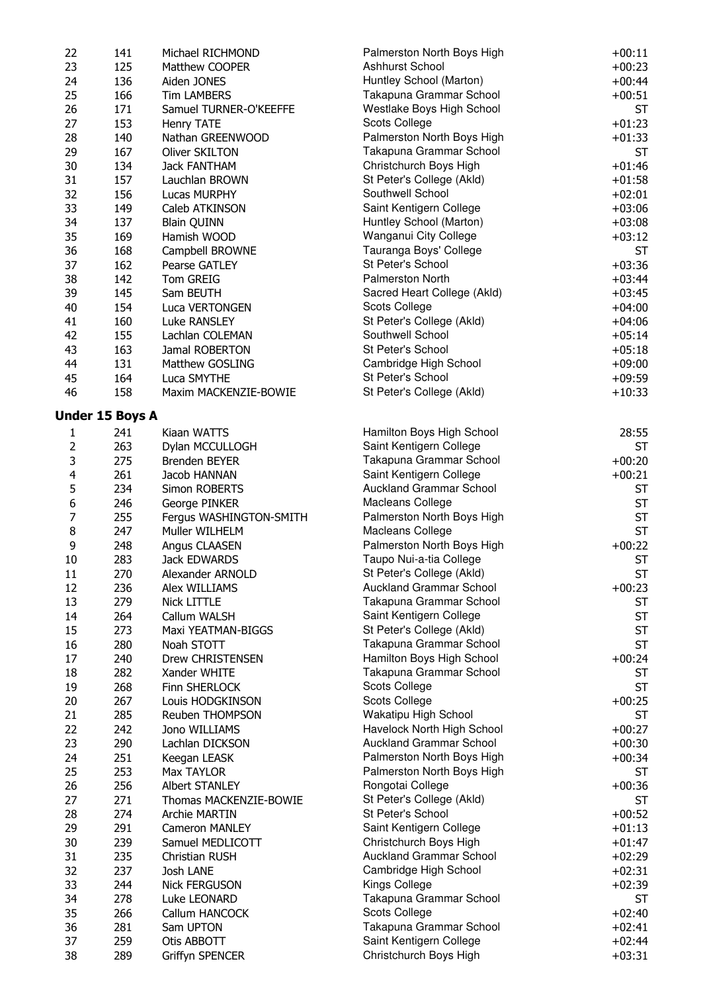| 22                      | 141             | Michael RICHMOND                     | Palmerston North Boys High                           | $+00:11$               |
|-------------------------|-----------------|--------------------------------------|------------------------------------------------------|------------------------|
| 23                      | 125             | Matthew COOPER                       | Ashhurst School                                      | $+00:23$               |
| 24                      | 136             | Aiden JONES                          | Huntley School (Marton)                              | $+00:44$               |
| 25                      | 166             | <b>Tim LAMBERS</b>                   | Takapuna Grammar School                              | $+00:51$               |
| 26                      | 171             | Samuel TURNER-O'KEEFFE               | Westlake Boys High School                            | ST                     |
| 27                      | 153             | Henry TATE                           | Scots College                                        | $+01:23$               |
| 28                      | 140             | Nathan GREENWOOD                     | Palmerston North Boys High                           | $+01:33$               |
| 29                      | 167             | Oliver SKILTON                       | Takapuna Grammar School                              | ST                     |
| 30                      | 134             | <b>Jack FANTHAM</b>                  | Christchurch Boys High                               | $+01:46$               |
| 31                      | 157             | Lauchlan BROWN                       | St Peter's College (Akld)                            | $+01:58$               |
| 32                      | 156             | Lucas MURPHY                         | Southwell School                                     | $+02:01$               |
| 33                      | 149             | Caleb ATKINSON                       | Saint Kentigern College                              | $+03:06$               |
| 34                      | 137             | <b>Blain QUINN</b>                   | Huntley School (Marton)                              | $+03:08$               |
| 35                      | 169             | Hamish WOOD                          | Wanganui City College                                | $+03:12$               |
| 36                      | 168             | Campbell BROWNE                      | Tauranga Boys' College                               | <b>ST</b>              |
| 37                      | 162             | Pearse GATLEY                        | St Peter's School                                    | $+03:36$               |
| 38                      | 142             | Tom GREIG                            | <b>Palmerston North</b>                              | $+03:44$               |
| 39                      | 145             | Sam BEUTH                            | Sacred Heart College (Akld)                          | $+03:45$               |
| 40                      | 154             | Luca VERTONGEN                       | Scots College                                        | $+04:00$               |
| 41                      | 160             | Luke RANSLEY                         | St Peter's College (Akld)                            | $+04:06$               |
| 42                      | 155             | Lachlan COLEMAN                      | Southwell School<br>St Peter's School                | $+05:14$               |
| 43                      | 163             | Jamal ROBERTON                       |                                                      | $+05:18$               |
| 44                      | 131             | Matthew GOSLING                      | Cambridge High School<br>St Peter's School           | $+09:00$               |
| 45<br>46                | 164<br>158      | Luca SMYTHE<br>Maxim MACKENZIE-BOWIE | St Peter's College (Akld)                            | $+09:59$<br>$+10:33$   |
|                         |                 |                                      |                                                      |                        |
|                         | Under 15 Boys A |                                      |                                                      |                        |
| $\mathbf{1}$            | 241             | Kiaan WATTS                          | Hamilton Boys High School                            | 28:55                  |
| $\overline{2}$          | 263             | Dylan MCCULLOGH                      | Saint Kentigern College                              | <b>ST</b>              |
| 3                       | 275             | Brenden BEYER                        | Takapuna Grammar School                              | $+00:20$               |
| $\overline{\mathbf{4}}$ | 261             | Jacob HANNAN                         | Saint Kentigern College                              | $+00:21$               |
| 5                       | 234             | Simon ROBERTS                        | <b>Auckland Grammar School</b>                       | <b>ST</b>              |
| 6                       | 246             | George PINKER                        | Macleans College                                     | <b>ST</b>              |
| $\overline{7}$          | 255             | Fergus WASHINGTON-SMITH              | Palmerston North Boys High                           | <b>ST</b>              |
| $\,8\,$                 | 247             | Muller WILHELM                       | Macleans College                                     | <b>ST</b>              |
| 9                       | 248             | Angus CLAASEN                        | Palmerston North Boys High                           | $+00:22$               |
| 10                      | 283             | Jack EDWARDS                         | Taupo Nui-a-tia College                              | <b>ST</b>              |
| 11                      | 270             | Alexander ARNOLD                     | St Peter's College (Akld)                            | <b>ST</b>              |
| 12                      | 236             | Alex WILLIAMS                        | <b>Auckland Grammar School</b>                       | $+00:23$               |
| 13                      | 279             | <b>Nick LITTLE</b>                   | Takapuna Grammar School                              | <b>ST</b>              |
| 14                      | 264             | Callum WALSH                         | Saint Kentigern College<br>St Peter's College (Akld) | <b>ST</b>              |
| 15                      | 273             | Maxi YEATMAN-BIGGS                   |                                                      | <b>ST</b>              |
| 16<br>17                | 280<br>240      | Noah STOTT                           | Takapuna Grammar School<br>Hamilton Boys High School | <b>ST</b>              |
| 18                      | 282             | Drew CHRISTENSEN                     | Takapuna Grammar School                              | $+00:24$               |
| 19                      | 268             | Xander WHITE<br>Finn SHERLOCK        | Scots College                                        | <b>ST</b><br><b>ST</b> |
| 20                      | 267             | Louis HODGKINSON                     | Scots College                                        | $+00:25$               |
| 21                      | 285             | Reuben THOMPSON                      | Wakatipu High School                                 | <b>ST</b>              |
| 22                      | 242             | Jono WILLIAMS                        | Havelock North High School                           | $+00:27$               |
| 23                      | 290             | Lachlan DICKSON                      | <b>Auckland Grammar School</b>                       | $+00:30$               |
| 24                      | 251             | Keegan LEASK                         | Palmerston North Boys High                           | $+00:34$               |
| 25                      | 253             | Max TAYLOR                           | Palmerston North Boys High                           | <b>ST</b>              |
| 26                      | 256             | Albert STANLEY                       | Rongotai College                                     | $+00:36$               |
| 27                      | 271             | Thomas MACKENZIE-BOWIE               | St Peter's College (Akld)                            | <b>ST</b>              |
| 28                      | 274             | <b>Archie MARTIN</b>                 | St Peter's School                                    | $+00:52$               |
| 29                      | 291             | <b>Cameron MANLEY</b>                | Saint Kentigern College                              | $+01:13$               |
| 30                      | 239             | Samuel MEDLICOTT                     | Christchurch Boys High                               | $+01:47$               |
| 31                      | 235             | Christian RUSH                       | <b>Auckland Grammar School</b>                       | $+02:29$               |
| 32                      | 237             | Josh LANE                            | Cambridge High School                                | $+02:31$               |
| 33                      | 244             | <b>Nick FERGUSON</b>                 | Kings College                                        | $+02:39$               |
| 34                      | 278             | Luke LEONARD                         | Takapuna Grammar School                              | <b>ST</b>              |
| 35                      | 266             | Callum HANCOCK                       | Scots College                                        | $+02:40$               |
| 36                      | 281             | Sam UPTON                            | Takapuna Grammar School                              | $+02:41$               |
| 37                      | 259             | Otis ABBOTT                          | Saint Kentigern College                              | $+02:44$               |
| 38                      | 289             | Griffyn SPENCER                      | Christchurch Boys High                               | $+03:31$               |
|                         |                 |                                      |                                                      |                        |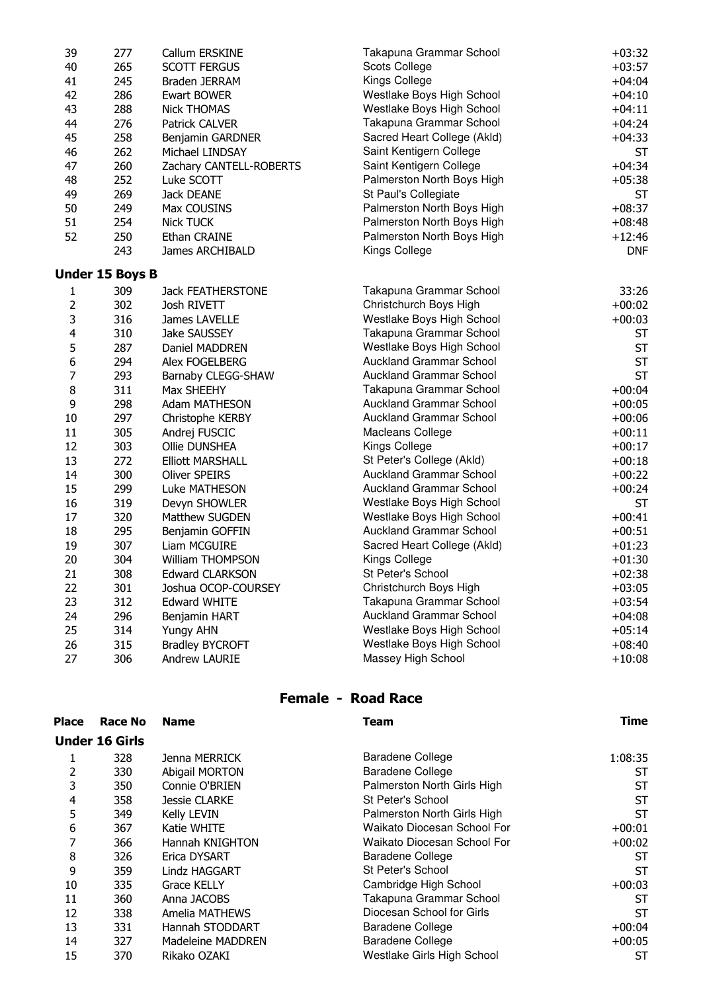| 39                      | 277             | Callum ERSKINE           | Takapuna Grammar School        | $+03:32$   |
|-------------------------|-----------------|--------------------------|--------------------------------|------------|
| 40                      | 265             | <b>SCOTT FERGUS</b>      | <b>Scots College</b>           | $+03:57$   |
| 41                      | 245             | Braden JERRAM            | Kings College                  | $+04:04$   |
| 42                      | 286             | Ewart BOWER              | Westlake Boys High School      | $+04:10$   |
| 43                      | 288             | <b>Nick THOMAS</b>       | Westlake Boys High School      | $+04:11$   |
| 44                      | 276             | Patrick CALVER           | Takapuna Grammar School        | $+04:24$   |
| 45                      | 258             | Benjamin GARDNER         | Sacred Heart College (Akld)    | $+04:33$   |
| 46                      | 262             | Michael LINDSAY          | Saint Kentigern College        | <b>ST</b>  |
| 47                      | 260             | Zachary CANTELL-ROBERTS  | Saint Kentigern College        | $+04:34$   |
| 48                      | 252             | Luke SCOTT               | Palmerston North Boys High     | $+05:38$   |
| 49                      | 269             | Jack DEANE               | St Paul's Collegiate           | <b>ST</b>  |
| 50                      | 249             | Max COUSINS              | Palmerston North Boys High     | $+08:37$   |
| 51                      | 254             | <b>Nick TUCK</b>         | Palmerston North Boys High     | $+08:48$   |
| 52                      | 250             | Ethan CRAINE             | Palmerston North Boys High     | $+12:46$   |
|                         | 243             | James ARCHIBALD          | Kings College                  | <b>DNF</b> |
|                         | Under 15 Boys B |                          |                                |            |
| 1                       | 309             | <b>Jack FEATHERSTONE</b> | Takapuna Grammar School        | 33:26      |
| $\overline{2}$          | 302             | Josh RIVETT              | Christchurch Boys High         | $+00:02$   |
| 3                       | 316             | James LAVELLE            | Westlake Boys High School      | $+00:03$   |
| $\overline{\mathbf{4}}$ | 310             | <b>Jake SAUSSEY</b>      | Takapuna Grammar School        | ST         |
| 5                       | 287             | Daniel MADDREN           | Westlake Boys High School      | <b>ST</b>  |
| 6                       | 294             | Alex FOGELBERG           | <b>Auckland Grammar School</b> | <b>ST</b>  |
| $\overline{7}$          | 293             | Barnaby CLEGG-SHAW       | <b>Auckland Grammar School</b> | <b>ST</b>  |
| 8                       | 311             | Max SHEEHY               | Takapuna Grammar School        | $+00:04$   |
| 9                       | 298             | Adam MATHESON            | <b>Auckland Grammar School</b> | $+00:05$   |
| 10                      | 297             | Christophe KERBY         | <b>Auckland Grammar School</b> | $+00:06$   |
| 11                      | 305             | Andrej FUSCIC            | Macleans College               | $+00:11$   |
| 12                      | 303             | Ollie DUNSHEA            | Kings College                  | $+00:17$   |
| 13                      | 272             | <b>Elliott MARSHALL</b>  | St Peter's College (Akld)      | $+00:18$   |
| 14                      | 300             | <b>Oliver SPEIRS</b>     | <b>Auckland Grammar School</b> | $+00:22$   |
| 15                      | 299             | Luke MATHESON            | <b>Auckland Grammar School</b> | $+00:24$   |
| 16                      | 319             | Devyn SHOWLER            | Westlake Boys High School      | <b>ST</b>  |
| 17                      | 320             | Matthew SUGDEN           | Westlake Boys High School      | $+00:41$   |
| 18                      | 295             | Benjamin GOFFIN          | <b>Auckland Grammar School</b> | $+00:51$   |
| 19                      | 307             | Liam MCGUIRE             | Sacred Heart College (Akld)    | $+01:23$   |
| 20                      | 304             | William THOMPSON         | Kings College                  | $+01:30$   |
| 21                      | 308             | <b>Edward CLARKSON</b>   | St Peter's School              | $+02:38$   |
| 22                      | 301             | Joshua OCOP-COURSEY      | Christchurch Boys High         | $+03:05$   |
| 23                      | 312             | <b>Edward WHITE</b>      | Takapuna Grammar School        | $+03:54$   |
| 24                      | 296             | Benjamin HART            | <b>Auckland Grammar School</b> | $+04:08$   |
| 25                      | 314             | <b>Yungy AHN</b>         | Westlake Boys High School      | $+05:14$   |
| 26                      | 315             | <b>Bradley BYCROFT</b>   | Westlake Boys High School      | $+08:40$   |
| 27                      | 306             | Andrew LAURIE            | Massey High School             | $+10:08$   |

#### Female - Road Race

| <b>Place</b> | <b>Race No</b>        | <b>Name</b>           | Team                        | Time      |
|--------------|-----------------------|-----------------------|-----------------------------|-----------|
|              | <b>Under 16 Girls</b> |                       |                             |           |
|              | 328                   | Jenna MERRICK         | Baradene College            | 1:08:35   |
| 2            | 330                   | <b>Abigail MORTON</b> | <b>Baradene College</b>     | ST        |
| 3            | 350                   | Connie O'BRIEN        | Palmerston North Girls High | <b>ST</b> |
| 4            | 358                   | <b>Jessie CLARKE</b>  | St Peter's School           | <b>ST</b> |
| 5            | 349                   | <b>Kelly LEVIN</b>    | Palmerston North Girls High | <b>ST</b> |
| 6            | 367                   | Katie WHITE           | Waikato Diocesan School For | $+00:01$  |
| 7            | 366                   | Hannah KNIGHTON       | Waikato Diocesan School For | $+00:02$  |
| 8            | 326                   | Erica DYSART          | Baradene College            | <b>ST</b> |
| 9            | 359                   | Lindz HAGGART         | St Peter's School           | <b>ST</b> |
| 10           | 335                   | <b>Grace KELLY</b>    | Cambridge High School       | $+00:03$  |
| 11           | 360                   | Anna JACOBS           | Takapuna Grammar School     | ST        |
| 12           | 338                   | Amelia MATHEWS        | Diocesan School for Girls   | <b>ST</b> |
| 13           | 331                   | Hannah STODDART       | Baradene College            | $+00:04$  |
| 14           | 327                   | Madeleine MADDREN     | <b>Baradene College</b>     | $+00:05$  |
| 15           | 370                   | Rikako OZAKI          | Westlake Girls High School  | ST        |
|              |                       |                       |                             |           |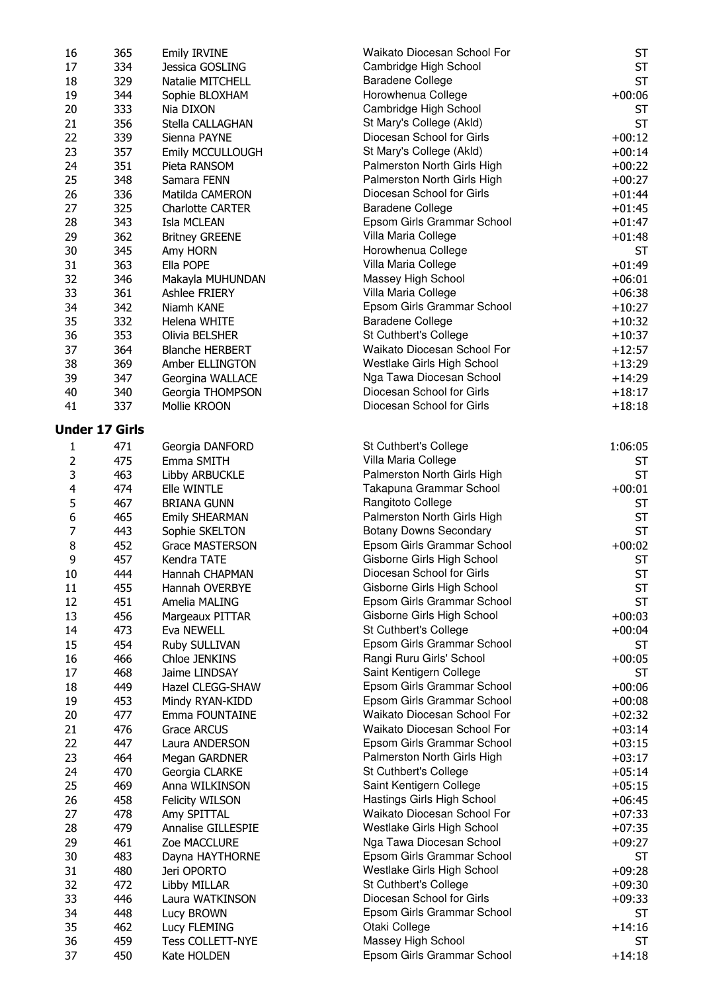| 16                      | 365                   | <b>Emily IRVINE</b>     | Waikato Diocesan School For   | ST        |
|-------------------------|-----------------------|-------------------------|-------------------------------|-----------|
| 17                      | 334                   | Jessica GOSLING         | Cambridge High School         | <b>ST</b> |
| 18                      | 329                   | Natalie MITCHELL        | <b>Baradene College</b>       | <b>ST</b> |
| 19                      | 344                   | Sophie BLOXHAM          | Horowhenua College            | $+00:06$  |
| 20                      | 333                   | Nia DIXON               | Cambridge High School         | <b>ST</b> |
| 21                      | 356                   | Stella CALLAGHAN        | St Mary's College (Akld)      | <b>ST</b> |
| 22                      | 339                   | Sienna PAYNE            | Diocesan School for Girls     | $+00:12$  |
| 23                      | 357                   | Emily MCCULLOUGH        | St Mary's College (Akld)      | $+00:14$  |
| 24                      | 351                   | Pieta RANSOM            | Palmerston North Girls High   | $+00:22$  |
| 25                      | 348                   | Samara FENN             | Palmerston North Girls High   | $+00:27$  |
| 26                      | 336                   | Matilda CAMERON         | Diocesan School for Girls     | $+01:44$  |
| 27                      | 325                   | <b>Charlotte CARTER</b> | <b>Baradene College</b>       | $+01:45$  |
| 28                      | 343                   | Isla MCLEAN             | Epsom Girls Grammar School    | $+01:47$  |
| 29                      | 362                   |                         |                               |           |
|                         |                       | <b>Britney GREENE</b>   | Villa Maria College           | $+01:48$  |
| 30                      | 345                   | Amy HORN                | Horowhenua College            | <b>ST</b> |
| 31                      | 363                   | Ella POPE               | Villa Maria College           | $+01:49$  |
| 32                      | 346                   | Makayla MUHUNDAN        | Massey High School            | $+06:01$  |
| 33                      | 361                   | Ashlee FRIERY           | Villa Maria College           | $+06:38$  |
| 34                      | 342                   | Niamh KANE              | Epsom Girls Grammar School    | $+10:27$  |
| 35                      | 332                   | Helena WHITE            | <b>Baradene College</b>       | $+10:32$  |
| 36                      | 353                   | Olivia BELSHER          | St Cuthbert's College         | $+10:37$  |
| 37                      | 364                   | <b>Blanche HERBERT</b>  | Waikato Diocesan School For   | $+12:57$  |
| 38                      | 369                   | Amber ELLINGTON         | Westlake Girls High School    | $+13:29$  |
| 39                      | 347                   | Georgina WALLACE        | Nga Tawa Diocesan School      | $+14:29$  |
| 40                      | 340                   | Georgia THOMPSON        | Diocesan School for Girls     | $+18:17$  |
| 41                      | 337                   | Mollie KROON            | Diocesan School for Girls     | $+18:18$  |
|                         | <b>Under 17 Girls</b> |                         |                               |           |
|                         |                       |                         |                               |           |
| $\mathbf{1}$            | 471                   | Georgia DANFORD         | St Cuthbert's College         | 1:06:05   |
| $\overline{2}$          | 475                   | Emma SMITH              | Villa Maria College           | ST        |
| 3                       | 463                   | Libby ARBUCKLE          | Palmerston North Girls High   | <b>ST</b> |
| $\overline{\mathbf{4}}$ | 474                   | Elle WINTLE             | Takapuna Grammar School       | $+00:01$  |
| 5                       | 467                   | <b>BRIANA GUNN</b>      | Rangitoto College             | ST        |
| 6                       | 465                   | <b>Emily SHEARMAN</b>   | Palmerston North Girls High   | <b>ST</b> |
| $\overline{7}$          | 443                   | Sophie SKELTON          | <b>Botany Downs Secondary</b> | <b>ST</b> |
| 8                       | 452                   | Grace MASTERSON         | Epsom Girls Grammar School    | $+00:02$  |
| 9                       | 457                   | Kendra TATE             | Gisborne Girls High School    | <b>ST</b> |
| 10                      | 444                   | Hannah CHAPMAN          | Diocesan School for Girls     | <b>ST</b> |
| 11                      | 455                   | Hannah OVERBYE          | Gisborne Girls High School    | ST        |
| 12                      | 451                   | Amelia MALING           | Epsom Girls Grammar School    | <b>ST</b> |
| 13                      | 456                   | Margeaux PITTAR         | Gisborne Girls High School    | $+00:03$  |
| 14                      | 473                   | Eva NEWELL              | St Cuthbert's College         | $+00:04$  |
| 15                      | 454                   | Ruby SULLIVAN           | Epsom Girls Grammar School    | ST        |
| 16                      | 466                   | Chloe JENKINS           | Rangi Ruru Girls' School      | $+00:05$  |
| 17                      | 468                   | Jaime LINDSAY           | Saint Kentigern College       | <b>ST</b> |
| 18                      | 449                   | Hazel CLEGG-SHAW        | Epsom Girls Grammar School    | $+00:06$  |
| 19                      | 453                   | Mindy RYAN-KIDD         | Epsom Girls Grammar School    | $+00:08$  |
| 20                      | 477                   | Emma FOUNTAINE          | Waikato Diocesan School For   | $+02:32$  |
| 21                      | 476                   |                         | Waikato Diocesan School For   | $+03:14$  |
| 22                      |                       | Grace ARCUS             | Epsom Girls Grammar School    |           |
|                         | 447                   | Laura ANDERSON          |                               | $+03:15$  |
| 23                      | 464                   | Megan GARDNER           | Palmerston North Girls High   | $+03:17$  |
| 24                      | 470                   | Georgia CLARKE          | St Cuthbert's College         | $+05:14$  |
| 25                      | 469                   | Anna WILKINSON          | Saint Kentigern College       | $+05:15$  |
| 26                      | 458                   | <b>Felicity WILSON</b>  | Hastings Girls High School    | $+06:45$  |
| 27                      | 478                   | Amy SPITTAL             | Waikato Diocesan School For   | $+07:33$  |
| 28                      | 479                   | Annalise GILLESPIE      | Westlake Girls High School    | $+07:35$  |
| 29                      | 461                   | Zoe MACCLURE            | Nga Tawa Diocesan School      | $+09:27$  |
| 30                      | 483                   | Dayna HAYTHORNE         | Epsom Girls Grammar School    | <b>ST</b> |
| 31                      | 480                   | Jeri OPORTO             | Westlake Girls High School    | $+09:28$  |
| 32                      | 472                   | Libby MILLAR            | St Cuthbert's College         | $+09:30$  |
| 33                      | 446                   | Laura WATKINSON         | Diocesan School for Girls     | $+09:33$  |
| 34                      | 448                   | Lucy BROWN              | Epsom Girls Grammar School    | <b>ST</b> |
| 35                      | 462                   | Lucy FLEMING            | Otaki College                 | $+14:16$  |
| 36                      | 459                   | Tess COLLETT-NYE        | Massey High School            | ST        |
| 37                      | 450                   | Kate HOLDEN             | Epsom Girls Grammar School    | $+14:18$  |
|                         |                       |                         |                               |           |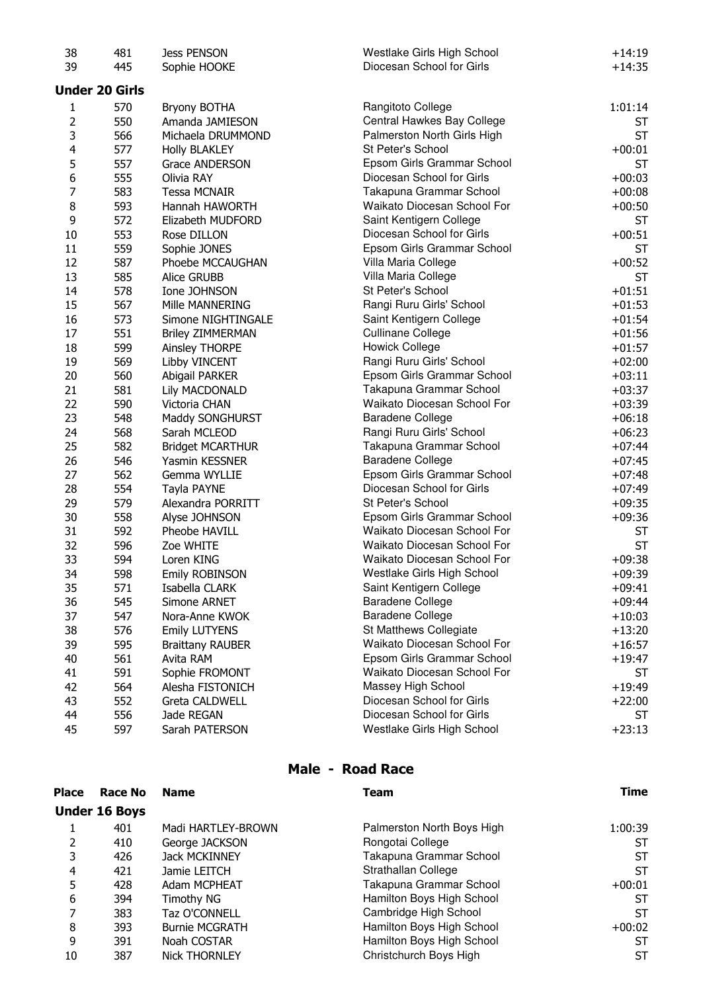| 38                      | 481                   | <b>Jess PENSON</b>      | Westlake Girls High School  | $+14:19$  |
|-------------------------|-----------------------|-------------------------|-----------------------------|-----------|
| 39                      | 445                   | Sophie HOOKE            | Diocesan School for Girls   | $+14:35$  |
|                         | <b>Under 20 Girls</b> |                         |                             |           |
| $\mathbf{1}$            | 570                   | <b>Bryony BOTHA</b>     | Rangitoto College           | 1:01:14   |
| 2                       | 550                   | Amanda JAMIESON         | Central Hawkes Bay College  | ST        |
| 3                       | 566                   | Michaela DRUMMOND       | Palmerston North Girls High | <b>ST</b> |
| $\overline{\mathbf{4}}$ | 577                   | <b>Holly BLAKLEY</b>    | St Peter's School           | $+00:01$  |
| 5                       | 557                   | Grace ANDERSON          | Epsom Girls Grammar School  | ST        |
| 6                       | 555                   | Olivia RAY              | Diocesan School for Girls   | $+00:03$  |
| $\overline{7}$          | 583                   | <b>Tessa MCNAIR</b>     | Takapuna Grammar School     | $+00:08$  |
| 8                       | 593                   | Hannah HAWORTH          | Waikato Diocesan School For | $+00:50$  |
| 9                       | 572                   | Elizabeth MUDFORD       | Saint Kentigern College     | ST        |
| 10                      | 553                   | Rose DILLON             | Diocesan School for Girls   | $+00:51$  |
| 11                      | 559                   | Sophie JONES            | Epsom Girls Grammar School  | ST        |
| 12                      | 587                   | Phoebe MCCAUGHAN        | Villa Maria College         | $+00:52$  |
| 13                      | 585                   | Alice GRUBB             | Villa Maria College         | ST        |
| 14                      | 578                   | Ione JOHNSON            | St Peter's School           | $+01:51$  |
| 15                      | 567                   | Mille MANNERING         | Rangi Ruru Girls' School    | $+01:53$  |
| 16                      | 573                   | Simone NIGHTINGALE      | Saint Kentigern College     | $+01:54$  |
| 17                      | 551                   | <b>Briley ZIMMERMAN</b> | <b>Cullinane College</b>    | $+01:56$  |
| 18                      | 599                   | Ainsley THORPE          | <b>Howick College</b>       | $+01:57$  |
| 19                      | 569                   | Libby VINCENT           | Rangi Ruru Girls' School    | $+02:00$  |
| 20                      | 560                   | Abigail PARKER          | Epsom Girls Grammar School  | $+03:11$  |
| 21                      | 581                   | Lily MACDONALD          | Takapuna Grammar School     | $+03:37$  |
| 22                      | 590                   | Victoria CHAN           | Waikato Diocesan School For | $+03:39$  |
| 23                      | 548                   | Maddy SONGHURST         | <b>Baradene College</b>     | $+06:18$  |
| 24                      | 568                   | Sarah MCLEOD            | Rangi Ruru Girls' School    | $+06:23$  |
| 25                      | 582                   | <b>Bridget MCARTHUR</b> | Takapuna Grammar School     | $+07:44$  |
| 26                      | 546                   | Yasmin KESSNER          | <b>Baradene College</b>     | $+07:45$  |
| 27                      | 562                   | Gemma WYLLIE            | Epsom Girls Grammar School  | $+07:48$  |
| 28                      | 554                   | Tayla PAYNE             | Diocesan School for Girls   | $+07:49$  |
| 29                      | 579                   | Alexandra PORRITT       | St Peter's School           | $+09:35$  |
| 30                      | 558                   | Alyse JOHNSON           | Epsom Girls Grammar School  | $+09:36$  |
| 31                      | 592                   | Pheobe HAVILL           | Waikato Diocesan School For | ST        |
| 32                      | 596                   | Zoe WHITE               | Waikato Diocesan School For | <b>ST</b> |
| 33                      | 594                   | Loren KING              | Waikato Diocesan School For | $+09:38$  |
| 34                      | 598                   | Emily ROBINSON          | Westlake Girls High School  | $+09:39$  |
| 35                      | 571                   | Isabella CLARK          | Saint Kentigern College     | $+09:41$  |
| 36                      | 545                   | Simone ARNET            | <b>Baradene College</b>     | $+09:44$  |
| 37                      | 547                   | Nora-Anne KWOK          | <b>Baradene College</b>     | $+10:03$  |
| 38                      | 576                   | <b>Emily LUTYENS</b>    | St Matthews Collegiate      | $+13:20$  |
| 39                      | 595                   | <b>Braittany RAUBER</b> | Waikato Diocesan School For | $+16:57$  |
| 40                      | 561                   | Avita RAM               | Epsom Girls Grammar School  | $+19:47$  |
| 41                      | 591                   | Sophie FROMONT          | Waikato Diocesan School For | ST        |
| 42                      | 564                   | Alesha FISTONICH        | Massey High School          | $+19:49$  |
| 43                      | 552                   | <b>Greta CALDWELL</b>   | Diocesan School for Girls   | $+22:00$  |
| 44                      | 556                   | Jade REGAN              | Diocesan School for Girls   | ST        |
| 45                      | 597                   | Sarah PATERSON          | Westlake Girls High School  | $+23:13$  |

## Male - Road Race

| Place | Race No              | <b>Name</b>           | <b>Team</b>                | Time     |
|-------|----------------------|-----------------------|----------------------------|----------|
|       | <b>Under 16 Boys</b> |                       |                            |          |
|       | 401                  | Madi HARTLEY-BROWN    | Palmerston North Boys High | 1:00:39  |
| 2     | 410                  | George JACKSON        | Rongotai College           | ST       |
| 3     | 426                  | <b>Jack MCKINNEY</b>  | Takapuna Grammar School    | ST       |
| 4     | 421                  | Jamie LEITCH          | Strathallan College        | ST       |
| 5     | 428                  | Adam MCPHEAT          | Takapuna Grammar School    | $+00:01$ |
| 6     | 394                  | Timothy NG            | Hamilton Boys High School  | ST       |
|       | 383                  | Taz O'CONNELL         | Cambridge High School      | ST       |
| 8     | 393                  | <b>Burnie MCGRATH</b> | Hamilton Boys High School  | $+00:02$ |
| 9     | 391                  | Noah COSTAR           | Hamilton Boys High School  | ST       |
| 10    | 387                  | <b>Nick THORNLEY</b>  | Christchurch Boys High     | ST       |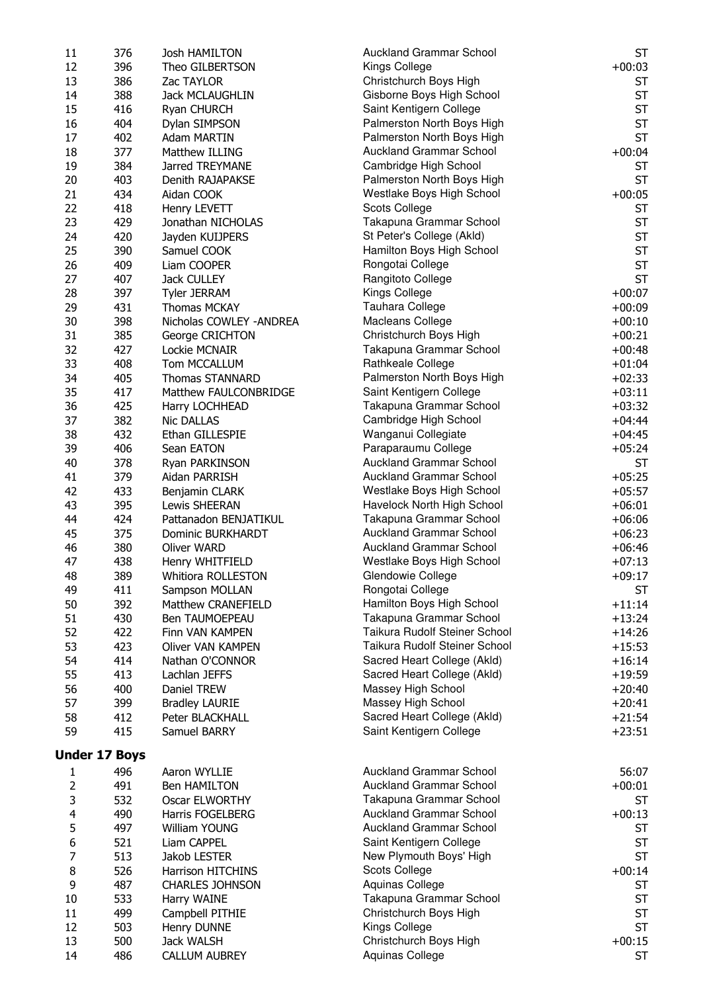| 11                      | 376                  | Josh HAMILTON                   | <b>Auckland Grammar School</b>                        | <b>ST</b>            |
|-------------------------|----------------------|---------------------------------|-------------------------------------------------------|----------------------|
| 12                      | 396                  | Theo GILBERTSON                 | Kings College                                         | $+00:03$             |
| 13                      | 386                  | Zac TAYLOR                      | Christchurch Boys High                                | <b>ST</b>            |
| 14                      | 388                  | Jack MCLAUGHLIN                 | Gisborne Boys High School                             | <b>ST</b>            |
| 15                      | 416                  | Ryan CHURCH                     | Saint Kentigern College                               | <b>ST</b>            |
| 16                      | 404                  | Dylan SIMPSON                   | Palmerston North Boys High                            | <b>ST</b>            |
| 17                      | 402                  | Adam MARTIN                     | Palmerston North Boys High                            | <b>ST</b>            |
| 18                      | 377                  | Matthew ILLING                  | <b>Auckland Grammar School</b>                        | $+00:04$             |
| 19                      | 384                  | Jarred TREYMANE                 | Cambridge High School                                 | <b>ST</b>            |
| 20                      | 403                  | Denith RAJAPAKSE                | Palmerston North Boys High                            | <b>ST</b>            |
| 21                      | 434                  | Aidan COOK                      | Westlake Boys High School                             | $+00:05$             |
| 22                      | 418                  | Henry LEVETT                    | Scots College                                         | <b>ST</b>            |
| 23                      | 429                  | Jonathan NICHOLAS               | Takapuna Grammar School                               | <b>ST</b>            |
| 24                      | 420                  | Jayden KUIJPERS                 | St Peter's College (Akld)                             | <b>ST</b>            |
| 25                      | 390                  | Samuel COOK                     | Hamilton Boys High School                             | <b>ST</b>            |
| 26                      | 409                  | Liam COOPER                     | Rongotai College                                      | <b>ST</b>            |
| 27                      | 407                  | Jack CULLEY                     | Rangitoto College                                     | <b>ST</b>            |
| 28                      | 397                  | <b>Tyler JERRAM</b>             | Kings College                                         | $+00:07$             |
| 29                      | 431                  | <b>Thomas MCKAY</b>             | Tauhara College                                       | $+00:09$             |
| 30                      | 398                  | Nicholas COWLEY - ANDREA        | Macleans College                                      | $+00:10$             |
| 31                      | 385                  | George CRICHTON                 | Christchurch Boys High                                | $+00:21$             |
| 32                      | 427                  | Lockie MCNAIR                   | Takapuna Grammar School                               | $+00:48$             |
| 33                      | 408                  | Tom MCCALLUM                    | Rathkeale College                                     | $+01:04$             |
| 34                      | 405                  | <b>Thomas STANNARD</b>          | Palmerston North Boys High                            | $+02:33$             |
| 35                      | 417                  | Matthew FAULCONBRIDGE           | Saint Kentigern College                               | $+03:11$             |
| 36                      | 425                  | Harry LOCHHEAD                  | Takapuna Grammar School                               | $+03:32$             |
| 37                      | 382                  | Nic DALLAS                      | Cambridge High School                                 | $+04:44$             |
| 38                      | 432                  | Ethan GILLESPIE                 | Wanganui Collegiate                                   | $+04:45$             |
| 39<br>40                | 406                  | Sean EATON                      | Paraparaumu College<br><b>Auckland Grammar School</b> | $+05:24$             |
|                         | 378                  | Ryan PARKINSON                  | <b>Auckland Grammar School</b>                        | <b>ST</b>            |
| 41<br>42                | 379<br>433           | Aidan PARRISH                   | Westlake Boys High School                             | $+05:25$             |
| 43                      | 395                  | Benjamin CLARK<br>Lewis SHEERAN | Havelock North High School                            | $+05:57$<br>$+06:01$ |
| 44                      | 424                  | Pattanadon BENJATIKUL           | Takapuna Grammar School                               | $+06:06$             |
| 45                      | 375                  | Dominic BURKHARDT               | <b>Auckland Grammar School</b>                        | $+06:23$             |
| 46                      | 380                  | Oliver WARD                     | <b>Auckland Grammar School</b>                        | $+06:46$             |
| 47                      | 438                  | Henry WHITFIELD                 | Westlake Boys High School                             | $+07:13$             |
| 48                      | 389                  | Whitiora ROLLESTON              | Glendowie College                                     | $+09:17$             |
| 49                      | 411                  | Sampson MOLLAN                  | Rongotai College                                      | <b>ST</b>            |
| 50                      | 392                  | Matthew CRANEFIELD              | Hamilton Boys High School                             | $+11:14$             |
| 51                      | 430                  | Ben TAUMOEPEAU                  | Takapuna Grammar School                               | $+13:24$             |
| 52                      | 422                  | Finn VAN KAMPEN                 | Taikura Rudolf Steiner School                         | $+14:26$             |
| 53                      | 423                  | <b>Oliver VAN KAMPEN</b>        | Taikura Rudolf Steiner School                         | $+15:53$             |
| 54                      | 414                  | Nathan O'CONNOR                 | Sacred Heart College (Akld)                           | $+16:14$             |
| 55                      | 413                  | Lachlan JEFFS                   | Sacred Heart College (Akld)                           | $+19:59$             |
| 56                      | 400                  | Daniel TREW                     | Massey High School                                    | $+20:40$             |
| 57                      | 399                  | <b>Bradley LAURIE</b>           | Massey High School                                    | $+20:41$             |
| 58                      | 412                  | Peter BLACKHALL                 | Sacred Heart College (Akld)                           | $+21:54$             |
| 59                      | 415                  | Samuel BARRY                    | Saint Kentigern College                               | $+23:51$             |
|                         |                      |                                 |                                                       |                      |
|                         | <b>Under 17 Boys</b> |                                 |                                                       |                      |
| 1                       | 496                  | Aaron WYLLIE                    | <b>Auckland Grammar School</b>                        | 56:07                |
| 2                       | 491                  | <b>Ben HAMILTON</b>             | <b>Auckland Grammar School</b>                        | $+00:01$             |
| 3                       | 532                  | Oscar ELWORTHY                  | Takapuna Grammar School                               | <b>ST</b>            |
| $\overline{\mathbf{4}}$ | 490                  | <b>Harris FOGELBERG</b>         | <b>Auckland Grammar School</b>                        | $+00:13$             |
| 5                       | 497                  | William YOUNG                   | <b>Auckland Grammar School</b>                        | <b>ST</b>            |
| 6                       | 521                  | Liam CAPPEL                     | Saint Kentigern College                               | <b>ST</b>            |
| 7                       | 513                  | Jakob LESTER                    | New Plymouth Boys' High                               | <b>ST</b>            |
| 8                       | 526                  | Harrison HITCHINS               | Scots College                                         | $+00:14$             |
| 9                       | 487                  | <b>CHARLES JOHNSON</b>          | Aquinas College                                       | <b>ST</b>            |
| 10                      | 533                  | Harry WAINE                     | Takapuna Grammar School                               | <b>ST</b>            |
| 11                      | 499                  | Campbell PITHIE                 | Christchurch Boys High                                | <b>ST</b>            |
| 12                      | 503                  | Henry DUNNE                     | Kings College                                         | <b>ST</b>            |
| 13                      | 500                  | Jack WALSH                      | Christchurch Boys High                                | $+00:15$             |
| 14                      | 486                  | <b>CALLUM AUBREY</b>            | Aquinas College                                       | <b>ST</b>            |
|                         |                      |                                 |                                                       |                      |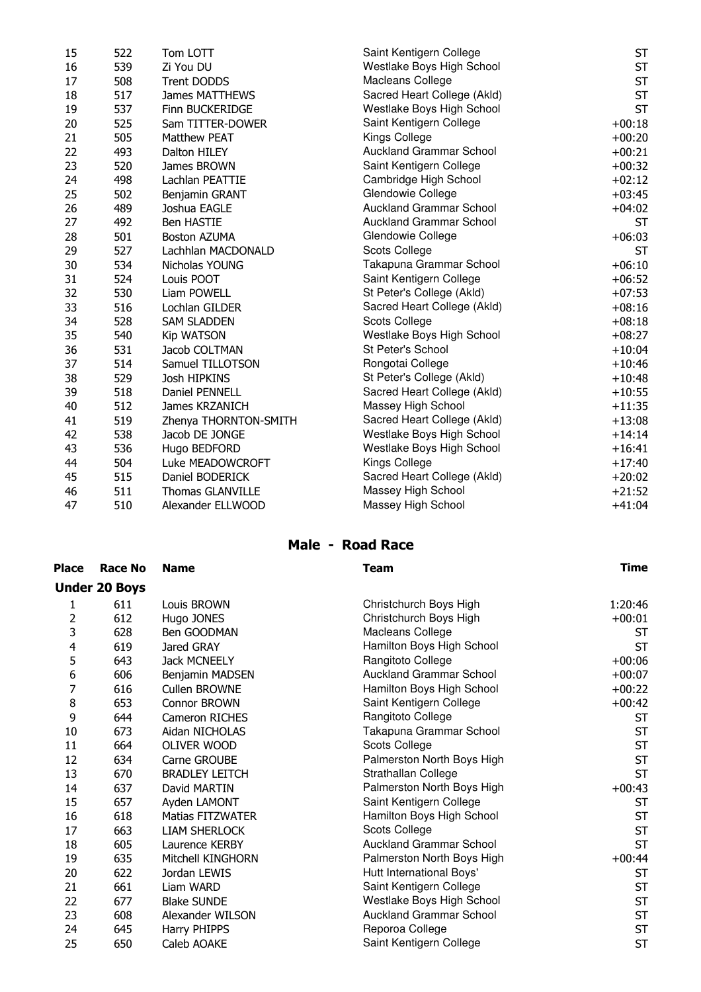| 15 | 522 | Tom LOTT                | Saint Kentigern College        | <b>ST</b> |
|----|-----|-------------------------|--------------------------------|-----------|
| 16 | 539 | Zi You DU               | Westlake Boys High School      | <b>ST</b> |
| 17 | 508 | <b>Trent DODDS</b>      | Macleans College               | <b>ST</b> |
| 18 | 517 | James MATTHEWS          | Sacred Heart College (Akld)    | <b>ST</b> |
| 19 | 537 | Finn BUCKERIDGE         | Westlake Boys High School      | <b>ST</b> |
| 20 | 525 | Sam TITTER-DOWER        | Saint Kentigern College        | $+00:18$  |
| 21 | 505 | <b>Matthew PEAT</b>     | Kings College                  | $+00:20$  |
| 22 | 493 | Dalton HILEY            | <b>Auckland Grammar School</b> | $+00:21$  |
| 23 | 520 | James BROWN             | Saint Kentigern College        | $+00:32$  |
| 24 | 498 | Lachlan PEATTIE         | Cambridge High School          | $+02:12$  |
| 25 | 502 | Benjamin GRANT          | Glendowie College              | $+03:45$  |
| 26 | 489 | Joshua EAGLE            | <b>Auckland Grammar School</b> | $+04:02$  |
| 27 | 492 | <b>Ben HASTIE</b>       | <b>Auckland Grammar School</b> | <b>ST</b> |
| 28 | 501 | <b>Boston AZUMA</b>     | Glendowie College              | $+06:03$  |
| 29 | 527 | Lachhlan MACDONALD      | Scots College                  | <b>ST</b> |
| 30 | 534 | Nicholas YOUNG          | Takapuna Grammar School        | $+06:10$  |
| 31 | 524 | Louis POOT              | Saint Kentigern College        | $+06:52$  |
| 32 | 530 | Liam POWELL             | St Peter's College (Akld)      | $+07:53$  |
| 33 | 516 | Lochlan GILDER          | Sacred Heart College (Akld)    | $+08:16$  |
| 34 | 528 | <b>SAM SLADDEN</b>      | Scots College                  | $+08:18$  |
| 35 | 540 | <b>Kip WATSON</b>       | Westlake Boys High School      | $+08:27$  |
| 36 | 531 | Jacob COLTMAN           | St Peter's School              | $+10:04$  |
| 37 | 514 | Samuel TILLOTSON        | Rongotai College               | $+10:46$  |
| 38 | 529 | Josh HIPKINS            | St Peter's College (Akld)      | $+10:48$  |
| 39 | 518 | Daniel PENNELL          | Sacred Heart College (Akld)    | $+10:55$  |
| 40 | 512 | James KRZANICH          | Massey High School             | $+11:35$  |
| 41 | 519 | Zhenya THORNTON-SMITH   | Sacred Heart College (Akld)    | $+13:08$  |
| 42 | 538 | Jacob DE JONGE          | Westlake Boys High School      | $+14:14$  |
| 43 | 536 | Hugo BEDFORD            | Westlake Boys High School      | $+16:41$  |
| 44 | 504 | Luke MEADOWCROFT        | Kings College                  | $+17:40$  |
| 45 | 515 | Daniel BODERICK         | Sacred Heart College (Akld)    | $+20:02$  |
| 46 | 511 | <b>Thomas GLANVILLE</b> | Massey High School             | $+21:52$  |
| 47 | 510 | Alexander ELLWOOD       | Massey High School             | $+41:04$  |
|    |     |                         |                                |           |

### Male - Road Race

| <b>Place</b> | <b>Race No</b>       | <b>Name</b>             | <b>Team</b>                    | <b>Time</b> |
|--------------|----------------------|-------------------------|--------------------------------|-------------|
|              | <b>Under 20 Boys</b> |                         |                                |             |
| 1            | 611                  | Louis BROWN             | Christchurch Boys High         | 1:20:46     |
| 2            | 612                  | Hugo JONES              | Christchurch Boys High         | $+00:01$    |
| 3            | 628                  | Ben GOODMAN             | Macleans College               | ST          |
| 4            | 619                  | Jared GRAY              | Hamilton Boys High School      | <b>ST</b>   |
| 5            | 643                  | <b>Jack MCNEELY</b>     | Rangitoto College              | $+00:06$    |
| 6            | 606                  | Benjamin MADSEN         | <b>Auckland Grammar School</b> | $+00:07$    |
| 7            | 616                  | <b>Cullen BROWNE</b>    | Hamilton Boys High School      | $+00:22$    |
| 8            | 653                  | Connor BROWN            | Saint Kentigern College        | $+00:42$    |
| 9            | 644                  | <b>Cameron RICHES</b>   | Rangitoto College              | <b>ST</b>   |
| 10           | 673                  | Aidan NICHOLAS          | Takapuna Grammar School        | <b>ST</b>   |
| 11           | 664                  | OLIVER WOOD             | <b>Scots College</b>           | <b>ST</b>   |
| 12           | 634                  | Carne GROUBE            | Palmerston North Boys High     | <b>ST</b>   |
| 13           | 670                  | <b>BRADLEY LEITCH</b>   | Strathallan College            | <b>ST</b>   |
| 14           | 637                  | David MARTIN            | Palmerston North Boys High     | $+00:43$    |
| 15           | 657                  | Ayden LAMONT            | Saint Kentigern College        | <b>ST</b>   |
| 16           | 618                  | <b>Matias FITZWATER</b> | Hamilton Boys High School      | <b>ST</b>   |
| 17           | 663                  | <b>LIAM SHERLOCK</b>    | <b>Scots College</b>           | <b>ST</b>   |
| 18           | 605                  | Laurence KERBY          | <b>Auckland Grammar School</b> | <b>ST</b>   |
| 19           | 635                  | Mitchell KINGHORN       | Palmerston North Boys High     | $+00:44$    |
| 20           | 622                  | Jordan LEWIS            | Hutt International Boys'       | <b>ST</b>   |
| 21           | 661                  | Liam WARD               | Saint Kentigern College        | <b>ST</b>   |
| 22           | 677                  | <b>Blake SUNDE</b>      | Westlake Boys High School      | <b>ST</b>   |
| 23           | 608                  | Alexander WILSON        | <b>Auckland Grammar School</b> | <b>ST</b>   |
| 24           | 645                  | Harry PHIPPS            | Reporoa College                | <b>ST</b>   |
| 25           | 650                  | Caleb AOAKE             | Saint Kentigern College        | <b>ST</b>   |